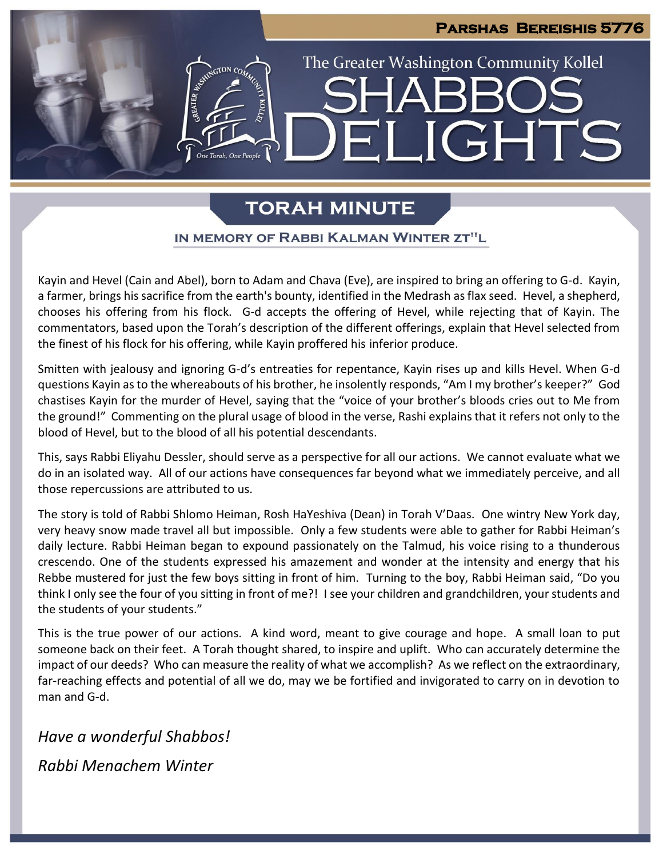# **Parshas Bereishis 5776** The Greater Washington Community Kollel ELIGHTS

# **TORAH MINUTE**

### IN MEMORY OF RABBI KALMAN WINTER ZT"L

Kayin and Hevel (Cain and Abel), born to Adam and Chava (Eve), are inspired to bring an offering to G-d. Kayin, a farmer, brings his sacrifice from the earth's bounty, identified in the Medrash as flax seed. Hevel, a shepherd, chooses his offering from his flock. G-d accepts the offering of Hevel, while rejecting that of Kayin. The commentators, based upon the Torah's description of the different offerings, explain that Hevel selected from the finest of his flock for his offering, while Kayin proffered his inferior produce.

Smitten with jealousy and ignoring G-d's entreaties for repentance, Kayin rises up and kills Hevel. When G-d questions Kayin as to the whereabouts of his brother, he insolently responds, "Am I my brother's keeper?" God chastises Kayin for the murder of Hevel, saying that the "voice of your brother's bloods cries out to Me from the ground!" Commenting on the plural usage of blood in the verse, Rashi explains that it refers not only to the blood of Hevel, but to the blood of all his potential descendants.

This, says Rabbi Eliyahu Dessler, should serve as a perspective for all our actions. We cannot evaluate what we do in an isolated way. All of our actions have consequences far beyond what we immediately perceive, and all those repercussions are attributed to us.

The story is told of Rabbi Shlomo Heiman, Rosh HaYeshiva (Dean) in Torah V'Daas. One wintry New York day, very heavy snow made travel all but impossible. Only a few students were able to gather for Rabbi Heiman's daily lecture. Rabbi Heiman began to expound passionately on the Talmud, his voice rising to a thunderous crescendo. One of the students expressed his amazement and wonder at the intensity and energy that his Rebbe mustered for just the few boys sitting in front of him. Turning to the boy, Rabbi Heiman said, "Do you think I only see the four of you sitting in front of me?! I see your children and grandchildren, your students and the students of your students."

This is the true power of our actions. A kind word, meant to give courage and hope. A small loan to put someone back on their feet. A Torah thought shared, to inspire and uplift. Who can accurately determine the impact of our deeds? Who can measure the reality of what we accomplish? As we reflect on the extraordinary, far-reaching effects and potential of all we do, may we be fortified and invigorated to carry on in devotion to man and G-d.

*Have a wonderful Shabbos! Rabbi Menachem Winter*